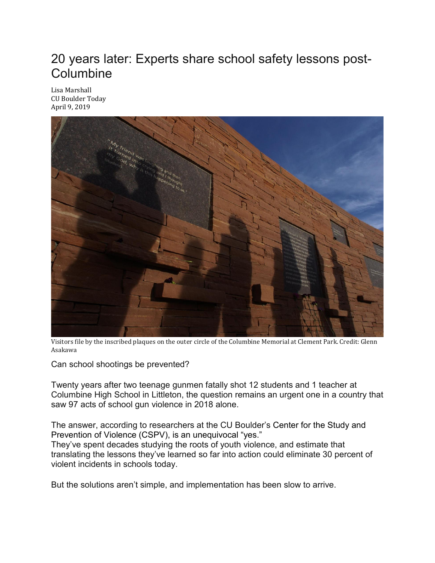## 20 years later: Experts share school safety lessons post-Columbine

Lisa [Marshall](https://www.colorado.edu/today/lisa-marshall)  CU Boulder Today April 9, 2019



Visitors file by the inscribed plaques on the outer circle of the Columbine Memorial at Clement Park. Credit: Glenn Asakawa

Can school shootings be prevented?

Twenty years after two teenage gunmen fatally shot 12 students and 1 teacher at Columbine High School in Littleton, the question remains an urgent one in a country that saw 97 acts of school gun violence in 2018 alone.

The answer, according to researchers at the CU Boulder's [Center](https://cspv.colorado.edu/) for the Study and [Prevention](https://cspv.colorado.edu/) of Violence (CSPV), is an unequivocal "yes."

They've spent decades studying the roots of youth violence, and estimate that translating the lessons they've learned so far into action could eliminate 30 percent of violent incidents in schools today.

But the solutions aren't simple, and implementation has been slow to arrive.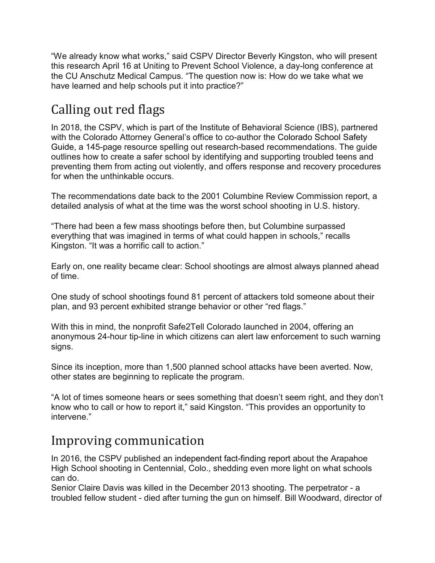"We already know what works," said CSPV Director Beverly Kingston, who will present this research April 16 at Uniting to Prevent School Violence, a day-long conference at the CU Anschutz Medical Campus. "The question now is: How do we take what we have learned and help schools put it into practice?"

## Calling out red flags

In 2018, the CSPV, which is part of the Institute of Behavioral Science (IBS), partnered with the Colorado Attorney General's office to co-author the [Colorado](https://coag.gov/sites/default/files/coloradoag_schoolsafetyguide_final_electronic.pdf) School Safety [Guide,](https://coag.gov/sites/default/files/coloradoag_schoolsafetyguide_final_electronic.pdf) a 145-page resource spelling out research-based recommendations. The guide outlines how to create a safer school by identifying and supporting troubled teens and preventing them from acting out violently, and offers response and recovery procedures for when the unthinkable occurs.

The recommendations date back to the 2001 Columbine Review Commission report, a detailed analysis of what at the time was the worst school shooting in U.S. history.

"There had been a few mass shootings before then, but Columbine surpassed everything that was imagined in terms of what could happen in schools," recalls Kingston. "It was a horrific call to action."

Early on, one reality became clear: School shootings are almost always planned ahead of time.

One study of school shootings found 81 percent of attackers told someone about their plan, and 93 percent exhibited strange behavior or other "red flags."

With this in mind, the nonprofit Safe2Tell Colorado launched in 2004, offering an anonymous 24-hour tip-line in which citizens can alert law enforcement to such warning signs.

Since its inception, more than 1,500 planned school attacks have been averted. Now, other states are beginning to replicate the program.

"A lot of times someone hears or sees something that doesn't seem right, and they don't know who to call or how to report it," said Kingston. "This provides an opportunity to intervene."

## Improving communication

In 2016, the CSPV published an [independent](https://www.colorado.edu/today/2016/01/18/independent-report-2013-school-shooting-identifies-lessons-learned) fact-finding report about the Arapahoe High School shooting in Centennial, Colo., shedding even more light on what schools can do.

Senior Claire Davis was killed in the December 2013 shooting. The perpetrator - a troubled fellow student - died after turning the gun on himself. Bill Woodward, director of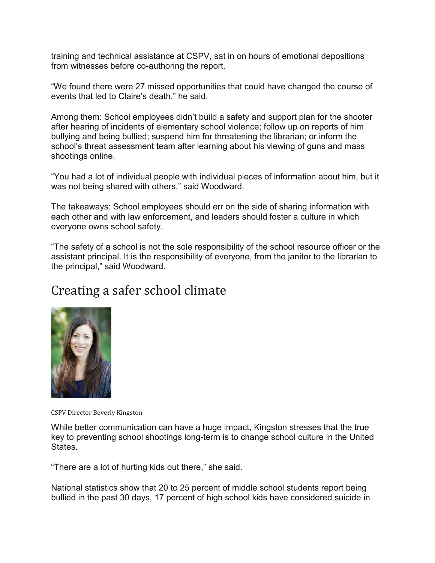training and technical assistance at CSPV, sat in on hours of emotional depositions from witnesses before co-authoring the report.

"We found there were 27 missed opportunities that could have changed the course of events that led to Claire's death," he said.

Among them: School employees didn't build a safety and support plan for the shooter after hearing of incidents of elementary school violence; follow up on reports of him bullying and being bullied; suspend him for threatening the librarian; or inform the school's threat assessment team after learning about his viewing of guns and mass shootings online.

"You had a lot of individual people with individual pieces of information about him, but it was not being shared with others," said Woodward.

The takeaways: School employees should err on the side of sharing information with each other and with law enforcement, and leaders should foster a culture in which everyone owns school safety.

"The safety of a school is not the sole responsibility of the school resource officer or the assistant principal. It is the responsibility of everyone, from the janitor to the librarian to the principal," said Woodward.

## Creating a safer school climate



CSPV Director Beverly Kingston

While better communication can have a huge impact, Kingston stresses that the true key to preventing school shootings long-term is to change school culture in the United States.

"There are a lot of hurting kids out there," she said.

National statistics show that 20 to 25 percent of middle school students report being bullied in the past 30 days, 17 percent of high school kids have considered suicide in